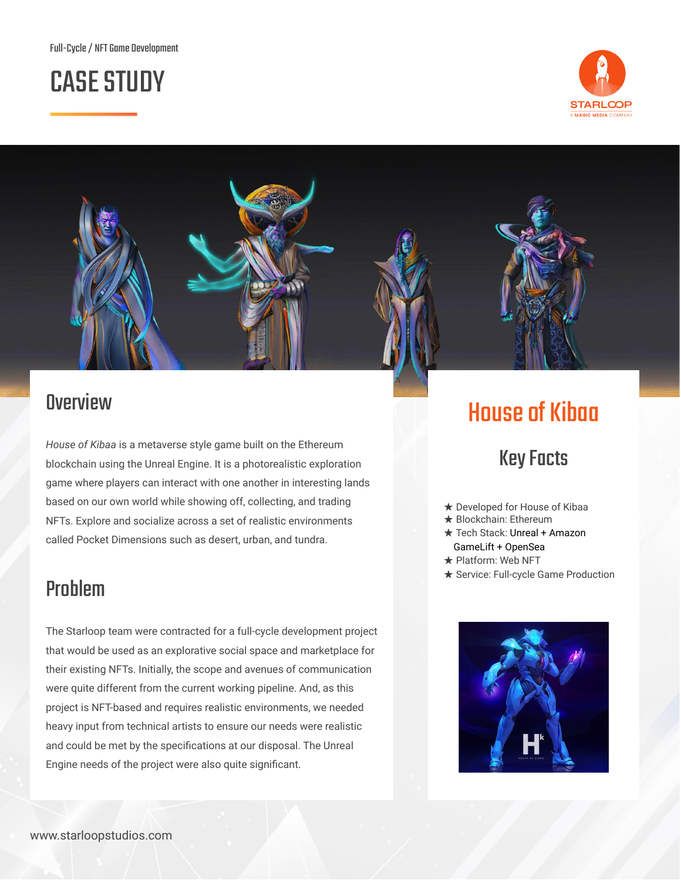# **CASE STUDY**





#### **Overview**

*House of Kibaa* is a metaverse style game built on the Ethereum blockchain using the Unreal Engine. It is a photorealistic exploration game where players can interact with one another in interesting lands based on our own world while showing off, collecting, and trading NFTs. Explore and socialize across a set of realistic environments called Pocket Dimensions such as desert, urban, and tundra.

#### Problem

The Starloop team were contracted for a full-cycle development project that would be used as an explorative social space and marketplace for their existing NFTs. Initially, the scope and avenues of communication were quite different from the current working pipeline. And, as this project is NFT-based and requires realistic environments, we needed heavy input from technical artists to ensure our needs were realistic and could be met by the specifications at our disposal. The Unreal Engine needs of the project were also quite significant.

# **House of Kibaa**

## **Key Facts**

- ★ Developed for House of Kibaa
- **★ Blockchain: Ethereum**
- ★ Tech Stack: Unreal + Amazon GameLift + OpenSea
- ★ Platform: Web NFT
- ★ Service: Full-cycle Game Production